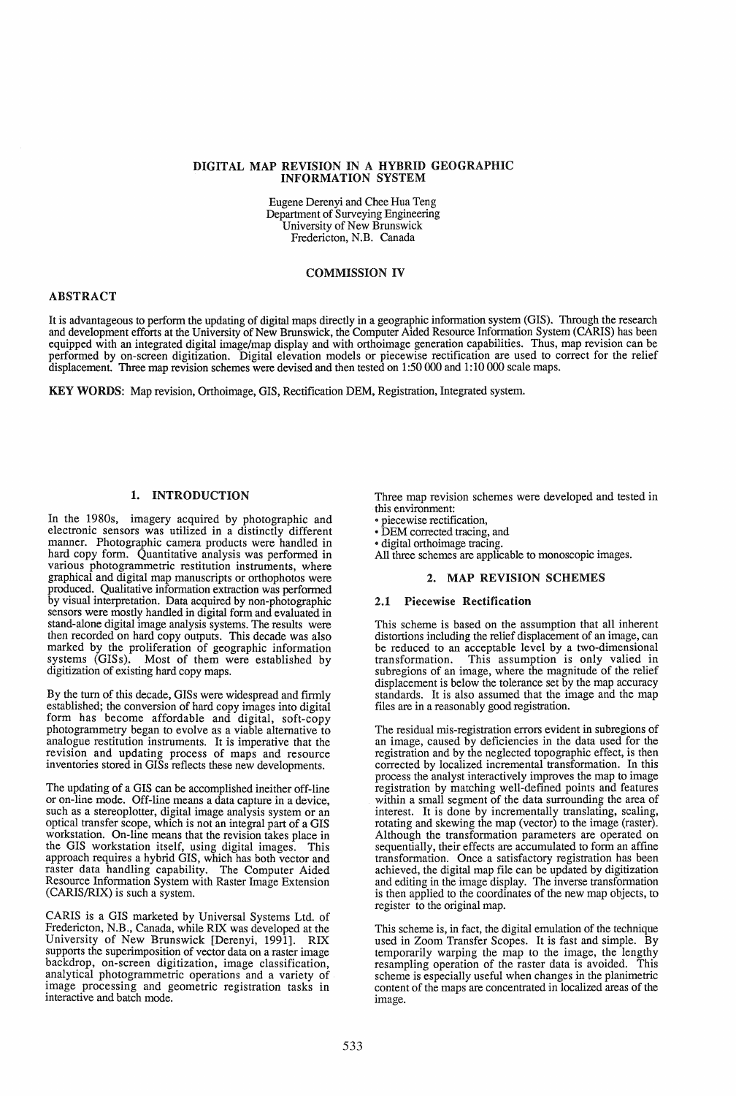#### DIGITAL MAP REVISION IN A HYBRID GEOGRAPHIC INFORMATION SYSTEM

Eugene Derenyi and Chee Hua Teng Department of Surveying Engineering University of New Brunswick Fredericton, N.B. Canada

#### COMMISSION IV

#### ABSTRACT

It is advantageous to perfonn the updating of digital maps directly in a geographic infonnation system (GIS). Through the research and development efforts at the University of New Brunswick, the Computer Aided Resource Information System (CARIS) has been equipped with an integrated digital image/map display and with orthoimage generation capabilities. Thus, map revision can be performed by on-screen digitization. Digital elevation models or piecewise rectification are used to correct for the relief displacement. Three map revision schemes were devised and then tested on 1 :50 000 and 1: 10 000 scale maps.

KEY WORDS: Map revision, Orthoimage, GIS, Rectification DEM, Registration, Integrated system.

# 1. INTRODUCTION

In the 1980s, imagery acquired by photographic and electronic sensors was utilized in a distinctly different manner. Photographic camera products were handled in hard copy form. Quantitative analysis was performed in various photogrammetric restitution instruments, where graphical and digital map manuscripts or orthophotos were produced. Qualitative information extraction was performed by visual interpretation. Data acquired by non-photographic sensors were mostly handled in digital form and evaluated in stand-alone digital image analysis systems. The results were then recorded on hard copy outputs. This decade was also marked by the proliferation of geographic information systems (GISs). Most of them were established by digitization of existing hard copy maps.

By the turn of this decade, GISs were widespread and firmly established; the conversion of hard copy images into digital form has become affordable and digital, soft-copy photogrammetry began to evolve as a viable alternative to analogue restitution instruments. It is imperative that the revision and updating process of maps and resource inventories stored in GISs reflects these new developments.

The updating of a GIS can be accomplished ineither off-line or on-line mode. Off-line means a data capture in a device, such as a stereoplotter, digital image analysis system or an optical transfer scope, which is not an integral part of a GIS workstation. On-line means that the revision takes place in the GIS workstation itself, using digital images. This approach requires a hybrid GIS, which has both vector and raster data handling capability. The Computer Aided Resource Information System with Raster Image Extension (CARIS/RIX) is such a system.

CARIS is a GIS marketed by Universal Systems Ltd. of Fredericton, N.B., Canada, while RIX was developed at the University of New Brunswick [Derenyi, 1991]. RIX supports the superimposition of vector data on a raster image backdrop, on-screen digitization, image classification, analytical photogrammetric operations and a variety of image processing and geometric registration tasks in interactive and batch mode.

Three map revision schemes were developed and tested in this environment:

- 
- piecewise rectification,<br>• DEM corrected tracing, and
- digital orthoirnage tracing.

All three schemes are applicable to monoscopic images.

# 2. MAP REVISION SCHEMES

# 2.1 Piecewise Rectification

This scheme is based on the assumption that all inherent distortions including the relief displacement of an image, can be reduced to an acceptable level by a two-dimensional transformation. This assumption is only valied in subregions of an image, where the magnitude of the relief displacement is below the tolerance set by the map accuracy standards. It is also assumed that the image and the map files are in a reasonably good registration.

The residual mis-registration errors evident in subregions of an image, caused by deficiencies in the data used for the registration and by the neglected topographic effect, is then corrected by localized incremental transformation. In this process the analyst interactively improves the map to image registration by matching well-defined points and features within a small segment of the data surrounding the area of interest. It is done by incrementally translating, scaling, rotating and skewing the map (vector) to the image (raster). Although the transformation parameters are operated on sequentially, their effects are accumulated to form an affine transformation. Once a satisfactory registration has been achieved, the digital map file can be updated by digitization and editing in the image display. The inverse transfonnation is then applied to the coordinates of the new map objects, to register to the original map.

This scheme is, in fact, the digital emulation of the technique used in Zoom Transfer Scopes. It is fast and simple. By temporarily warping the map to the image, the lengthy resampling operation of the raster data is avoided. This scheme is especially useful when changes in the planimetric content of the maps are concentrated in localized areas of the image.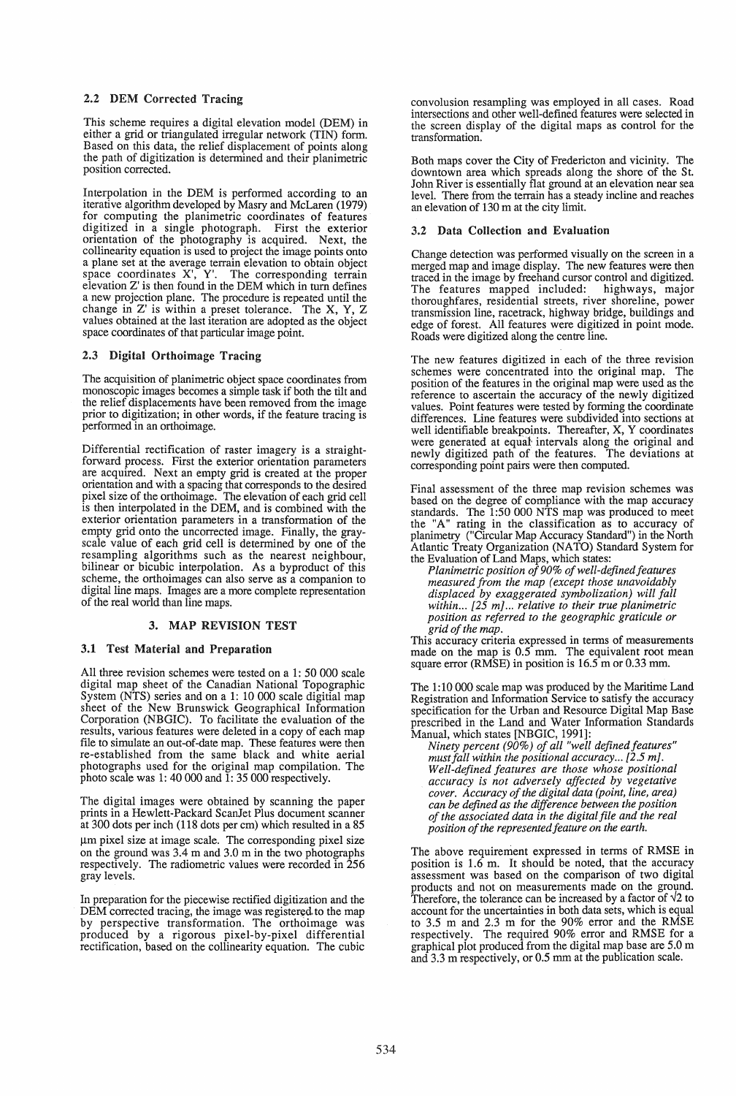# 2.2 DEM Corrected Tracing

This scheme requires a digital elevation model (DEM) in either a grid or triangulated irregular network (TIN) form. Based on this data, the relief displacement of points along the path of digitization is determined and their planimetric position corrected.

Interpolation in the DEM is performed according to an iterative algorithm developed by Masry and McLaren (1979) for computing the planimetric coordinates of features digitized in a single photograph. First the exterior orientation of the photography is acquired. Next, the collinearity equation is used to project the image points onto a plane set at the average terrain elevation to obtain object space coordinates X', Y'. The corresponding terrain elevation Z' is then found in the DEM which in tum defines a new projection plane. The procedure is repeated until the change in Z' is within a preset tolerance. The X, Y, Z values obtained at the last iteration are adopted as the object space coordinates of that particular image point.

# 2.3 Digital Orthoimage Tracing

The acquisition of planimetric object space coordinates from monoscopic images becomes a simple task if both the tilt and the relief displacements have been removed from the image prior to digitization; in other words, if the feature tracing is performed in an orthoimage.

Differential rectification of raster imagery is a straight-forward process. First the exterior orientation parameters are acquired. Next an empty grid is created at the proper orientation and with a spacing that corresponds to the desired pixel size of the orthoimage. The elevation of each grid cell is then interpolated in the DEM, and is combined with the exterior orientation parameters in a transformation of the empty grid onto the uncorrected image. Finally, the grayscale value of each grid cell is determined by one of the resampling algorithms such as the nearest neighbour, bilinear or bicubic interpolation. As a byproduct of this scheme, the orthoimages can also serve as a companion to digital line maps. Images are a more complete representation of the real world than line maps.

## 3. MAP REVISION TEST

#### 3.1 Test Material and Preparation

All three revision schemes were tested on a 1: 50 000 scale digital map sheet of the Canadian National Topographic System (NTS) series and on a 1: 10 000 scale digitial map sheet of the New Brunswick Geographical Information Corporation (NBGIC). To facilitate the evaluation of the results, various features were deleted in a copy of each map file to simulate an out-of-date map. These features were then re-established from the same black and white aerial photographs used for the original map compilation. The photo scale was 1:40 000 and 1:35 000 respectively.

The digital images were obtained by scanning the paper at 300 dots per inch (118 dots per cm) which resulted in a 85  $\mu$ m pixel size at image scale. The corresponding pixel size on the ground was 3.4 m and 3.0 m in the two photographs respectively. The radiometric values were recorded in 256 gray levels.

In preparation for the piecewise rectified digitization and the DEM corrected tracing, the image was registered to the map by perspective transformation. The orthoimage was produced by a rigorous pixel-by-pixel differential rectification, based on the collinearity equation. The cubic

convolusion resampling was employed in all cases. Road intersections and other well-defined features were selected in the screen display of the digital maps as control for the transformation.

Both maps cover the City of Fredericton and vicinity. The downtown area which spreads along the shore of the St. John River is essentially flat ground at an elevation near sea level. There from the terrain has a steady incline and reaches an elevation of 130 m at the city limit.

#### 3.2 Data Collection and Evaluation

Change detection was performed visually on the screen in a merged map and image display. The new features were then traced in the image by freehand cursor control and digitized.<br>The features mapped included: highways, major The features mapped included: thoroughfares, residential streets, river shoreline, power transmission line, racetrack, highway bridge, buildings and edge of forest. All features were digitized in point mode. Roads were digitized along the centre line.

The new features digitized in each of the three revision schemes were concentrated into the original map. The position of the features in the original map were used as the reference to ascertain the accuracy of the newly digitized values. Point features were tested by forming the coordinate differences. Line features were subdivided into sections at well identifiable breakpoints. Thereafter, X, Y coordinates were generated at equal intervals along the original and newly digitized path of the features. The deviations at corresponding point pairs were then computed.

Final assessment of the three map revision schemes was based on the degree of compliance with the map accuracy standards. The 1:50 000 NTS map was produced to meet the "A" rating in the classification as to accuracy of planimetry ("Circular Map Accuracy Standard") in the North Atlantic Treaty Organization (NATO) Standard System for the Evaluation of Land Maps, which states:

*Planimetric position of90% of well-defined features measured from the map (except those unavoidably displaced by exaggerated symbolization) will fall within ...* [25 *mJ ... relative to their true planimetric position as referred to the geographic graticule or grid of the map.* 

This accuracy criteria expressed in terms of measurements made on the map is 0.5 mm. The equivalent root mean square error (RMSE) in position is 16.5 m or 0.33 mm.

The 1: 10 000 scale map was produced by the Maritime Land Registration and Information Service to satisfy the accuracy specification for the Urban and Resource Digital Map Base prescribed in the Land and Water Information Standards Manual, which states [NBGIC, 1991]:

*Ninety percent (90%) of all "well defined features" must fall within the positional accuracy...* [2.5 m]. *Well-defined features are those whose positional accuracy is not adversely affected by vegetative cover. Accuracy of the digital data (point, line, area) can be defined as the difference between the position of the associated data in the digital file and the real position of the represented feature on the earth.* 

The above requirement expressed in terms of RMSE in position is  $1.6$  m. It should be noted, that the accuracy assessment was based on the comparison of two digital products and not on measurements made on the ground. Therefore, the tolerance can be increased by a factor of  $\sqrt{2}$  to account for the uncertainties in both data sets, which is equal to 3.5 m and 2.3 m for the 90% error and the RMSE respectively. The required 90% error and RMSE for a graphical plot produced from the digital map base are 5.0 m and  $3.3$  m respectively, or 0.5 mm at the publication scale.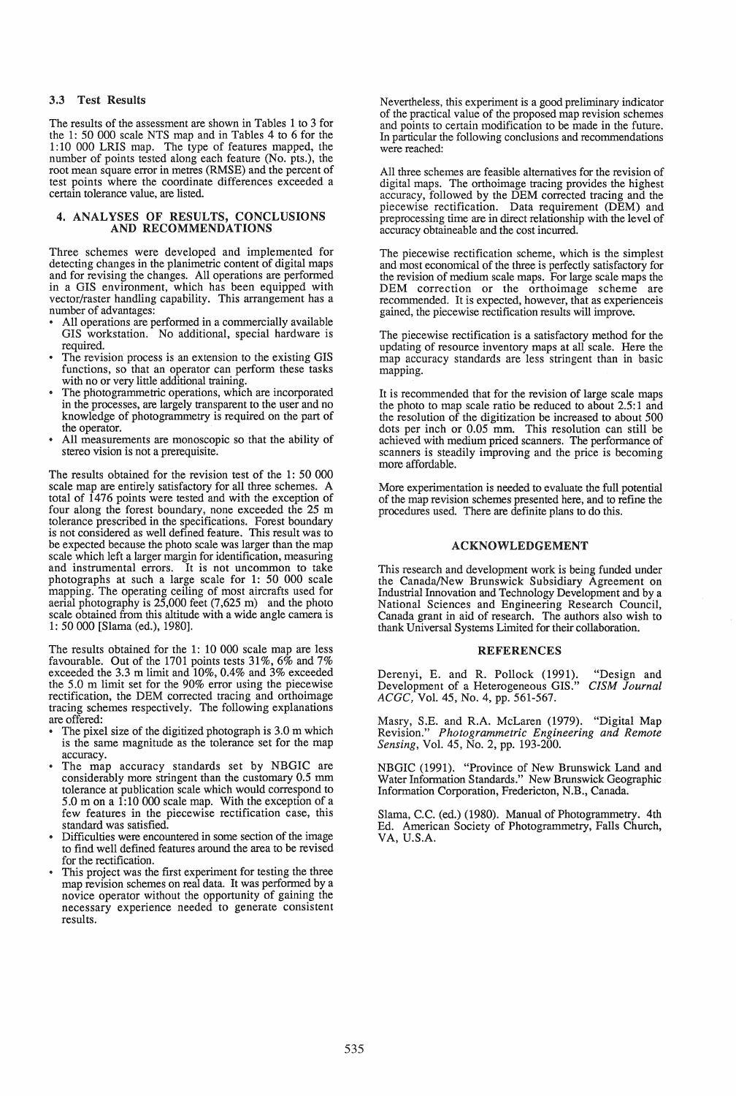## 3.3 Test Results

The results of the assessment are shown in Tables 1 to 3 for the 1: 50 000 scale NTS map and in Tables 4 to 6 for the 1: 10 000 LRIS map. The type of features mapped, the number of points tested along each feature (No. pts.), the root mean square error in metres (RMSE) and the percent of test points where the coordinate differences exceeded a certain tolerance value, are listed.

#### 4. ANALYSES OF RESULTS, CONCLUSIONS AND RECOMMENDATIONS

Three schemes were developed and implemented for detecting changes in the planimetric content of digital maps and for revising the changes. All operations are performed in a GIS environment, which has been equipped with vector/raster handling capability. This arrangement has a

- number of advantages:<br>• All operations are performed in a commercially available GIS workstation. No additional, special hardware is
- required.<br>The revision process is an extension to the existing GIS functions, so that an operator can perform these tasks with no or very little additional training.
- The photogrammetric operations, which are incorporated in the processes, are largely transparent to the user and no knowledge of photogrammetry is required on the part of
- All measurements are monoscopic so that the ability of stereo vision is not a prerequisite.

The results obtained for the revision test of the 1: 50 000 scale map are entirely satisfactory for all three schemes. A total of 1476 points were tested and with the exception of four along the forest boundary, none exceeded the 25 m tolerance prescribed in the specifications. Forest boundary is not considered as well defined feature. This result was to be expected because the photo scale was larger than the map scale which left a larger margin for identification, measuring and instrumental errors. It is not uncommon to take photographs at such a large scale for 1: 50 000 scale mapping. The operating ceiling of most aircrafts used for aerial photography is 25,000 feet (7,625 m) and the photo scale obtained from this altitude with a wide angle camera is 1: 50000 [Slama (ed.), 1980].

The results obtained for the 1: 10 000 scale map are less favourable. Out of the 1701 points tests 31%, 6% and 7% exceeded the 3.3 m limit and 10%, 0.4% and 3% exceeded the 5.0 m limit set for the 90% error using the piecewise rectification, the DEM corrected tracing and orthoimage tracing schemes respectively. The following explanations

- are offered: The pixel size of the digitized photograph is 3.0 m which is the same magnitude as the tolerance set for the map
- accuracy.<br>The map accuracy standards set by NBGIC are considerably more stringent than the customary 0.5 mm tolerance at publication scale which would correspond to 5.0 m on a 1:10 000 scale map. With the exception of a few features in the piecewise rectification case, this standard was satisfied.
- Difficulties were encountered in some section of the image to find well defined features around the area to be revised
- This project was the first experiment for testing the three map revision schemes on real data. It was performed by a novice operator without the opportunity of gaining the necessary experience needed to generate consistent results.

Nevertheless, this experiment is a good preliminary indicator of the practical value of the proposed map revision schemes and points to certain modification to be made in the future. In particular the following conclusions and recommendations were reached:

All three schemes are feasible alternatives for the revision of digital maps. The orthoimage tracing provides the highest accuracy, followed by the DEM corrected tracing and the piecewise rectification. Data requirement (DEM) and preprocessing time are in direct relationship with the level of accuracy obtaineable and the cost incurred.

The piecewise rectification scheme, which is the simplest and most economical of the three is perfectly satisfactory for the revision of medium scale maps. For large scale maps the DEM correction or the orthoimage scheme are recommended. It is expected, however, that as experienceis gained, the piecewise rectification results will improve.

The piecewise rectification is a satisfactory method for the updating of resource inventory maps at all scale. Here the map accuracy standards are less stringent than in basic mapping.

It is recommended that for the revision of large scale maps the photo to map scale ratio be reduced to about 2.5:1 and the resolution of the digitization be increased to about 500 dots per inch or 0.05 mm. This resolution can still be achieved with medium priced scanners. The performance of scanners is steadily improving and the price is becoming more affordable.

More experimentation is needed to evaluate the full potential of the map revision schemes presented here, and to refine the procedures used. There are definite plans to do this.

# ACKNOWLEDGEMENT

This research and development work is being funded under the Canada/New Brunswick Subsidiary Agreement on Industrial Innovation and Technology Development and by a National Sciences and Engineering Research Council, Canada grant in aid of research. The authors also wish to thank Universal Systems Limited for their collaboration.

#### REFERENCES

Derenyi, E. and R. Pollock (1991). "Design and Development of a Heterogeneous GIS." *CISM Journal ACGC,* Vol. 45, No.4, pp. 561-567.

Masry, S.E. and R.A. McLaren (1979). "Digital Map Revision." *Photogrammetric Engineering and Remote Sensing,* Vol. 45, No.2, pp. 193-200.

NBGIC (1991). "Province of New Brunswick Land and Water Information Standards." New Brunswick Geographic Information Corporation, Fredericton, N.B., Canada.

Slama, C.C. (ed.) (1980). Manual of Photogrammetry. 4th Ed. American Society of Photogrammetry, Falls Church, VA, U.S.A.